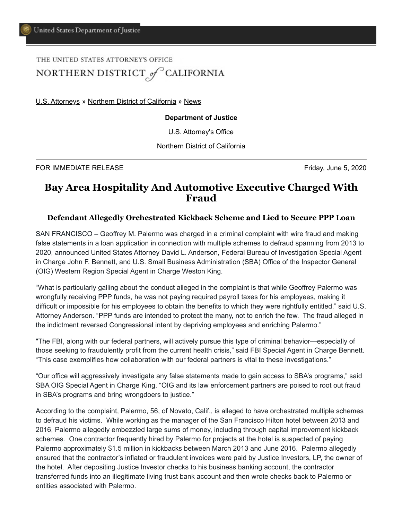## THE UNITED STATES ATTORNEY'S OFFICE NORTHERN DISTRICT of CALIFORNIA

[U.S. Attorneys](https://www.justice.gov/usao) » [Northern District of California](https://www.justice.gov/usao-ndca) » [News](https://www.justice.gov/usao-ndca/pr)

## **Department of Justice**

U.S. Attorney's Office

Northern District of California

FOR IMMEDIATE RELEASE Friday, June 5, 2020

## **Bay Area Hospitality And Automotive Executive Charged With Fraud**

## **Defendant Allegedly Orchestrated Kickback Scheme and Lied to Secure PPP Loan**

SAN FRANCISCO – Geoffrey M. Palermo was charged in a criminal complaint with wire fraud and making false statements in a loan application in connection with multiple schemes to defraud spanning from 2013 to 2020, announced United States Attorney David L. Anderson, Federal Bureau of Investigation Special Agent in Charge John F. Bennett, and U.S. Small Business Administration (SBA) Office of the Inspector General (OIG) Western Region Special Agent in Charge Weston King.

"What is particularly galling about the conduct alleged in the complaint is that while Geoffrey Palermo was wrongfully receiving PPP funds, he was not paying required payroll taxes for his employees, making it difficult or impossible for his employees to obtain the benefits to which they were rightfully entitled," said U.S. Attorney Anderson. "PPP funds are intended to protect the many, not to enrich the few. The fraud alleged in the indictment reversed Congressional intent by depriving employees and enriching Palermo."

"The FBI, along with our federal partners, will actively pursue this type of criminal behavior—especially of those seeking to fraudulently profit from the current health crisis," said FBI Special Agent in Charge Bennett. "This case exemplifies how collaboration with our federal partners is vital to these investigations."

"Our office will aggressively investigate any false statements made to gain access to SBA's programs," said SBA OIG Special Agent in Charge King. "OIG and its law enforcement partners are poised to root out fraud in SBA's programs and bring wrongdoers to justice."

According to the complaint, Palermo, 56, of Novato, Calif., is alleged to have orchestrated multiple schemes to defraud his victims. While working as the manager of the San Francisco Hilton hotel between 2013 and 2016, Palermo allegedly embezzled large sums of money, including through capital improvement kickback schemes. One contractor frequently hired by Palermo for projects at the hotel is suspected of paying Palermo approximately \$1.5 million in kickbacks between March 2013 and June 2016. Palermo allegedly ensured that the contractor's inflated or fraudulent invoices were paid by Justice Investors, LP, the owner of the hotel. After depositing Justice Investor checks to his business banking account, the contractor transferred funds into an illegitimate living trust bank account and then wrote checks back to Palermo or entities associated with Palermo.